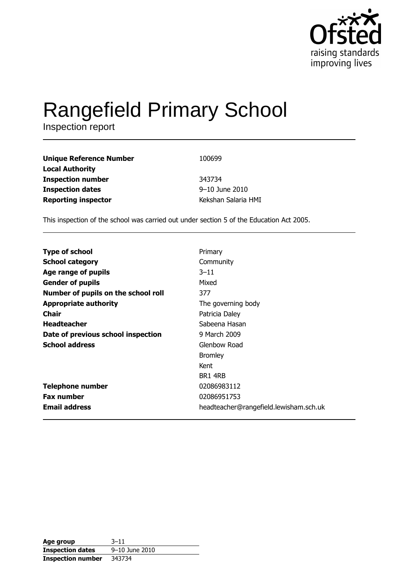

# Rangefield Primary School

| <b>Unique Reference Number</b> | 100699              |
|--------------------------------|---------------------|
| <b>Local Authority</b>         |                     |
| <b>Inspection number</b>       | 343734              |
| <b>Inspection dates</b>        | 9-10 June 2010      |
| <b>Reporting inspector</b>     | Kekshan Salaria HMI |

This inspection of the school was carried out under section 5 of the Education Act 2005.

| <b>Type of school</b>               | Primary                                |
|-------------------------------------|----------------------------------------|
| <b>School category</b>              | Community                              |
| Age range of pupils                 | $3 - 11$                               |
| <b>Gender of pupils</b>             | Mixed                                  |
| Number of pupils on the school roll | 377                                    |
| <b>Appropriate authority</b>        | The governing body                     |
| Chair                               | Patricia Daley                         |
| <b>Headteacher</b>                  | Sabeena Hasan                          |
| Date of previous school inspection  | 9 March 2009                           |
| <b>School address</b>               | Glenbow Road                           |
|                                     | <b>Bromley</b>                         |
|                                     | Kent                                   |
|                                     | BR1 4RB                                |
| <b>Telephone number</b>             | 02086983112                            |
| <b>Fax number</b>                   | 02086951753                            |
| <b>Email address</b>                | headteacher@rangefield.lewisham.sch.uk |

| Age group                | $3 - 11$       |
|--------------------------|----------------|
| <b>Inspection dates</b>  | 9-10 June 2010 |
| <b>Inspection number</b> | 343734         |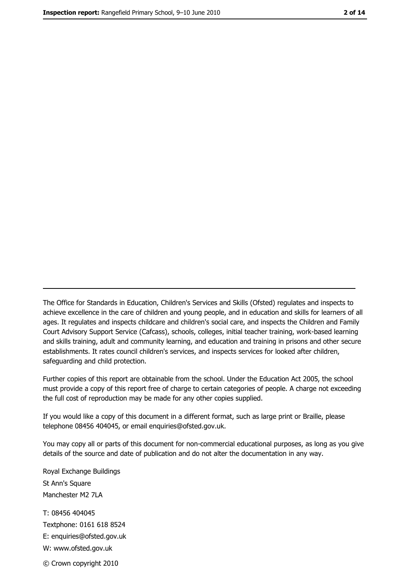The Office for Standards in Education, Children's Services and Skills (Ofsted) regulates and inspects to achieve excellence in the care of children and young people, and in education and skills for learners of all ages. It regulates and inspects childcare and children's social care, and inspects the Children and Family Court Advisory Support Service (Cafcass), schools, colleges, initial teacher training, work-based learning and skills training, adult and community learning, and education and training in prisons and other secure establishments. It rates council children's services, and inspects services for looked after children, safequarding and child protection.

Further copies of this report are obtainable from the school. Under the Education Act 2005, the school must provide a copy of this report free of charge to certain categories of people. A charge not exceeding the full cost of reproduction may be made for any other copies supplied.

If you would like a copy of this document in a different format, such as large print or Braille, please telephone 08456 404045, or email enquiries@ofsted.gov.uk.

You may copy all or parts of this document for non-commercial educational purposes, as long as you give details of the source and date of publication and do not alter the documentation in any way.

Royal Exchange Buildings St Ann's Square Manchester M2 7LA T: 08456 404045 Textphone: 0161 618 8524 E: enquiries@ofsted.gov.uk W: www.ofsted.gov.uk © Crown copyright 2010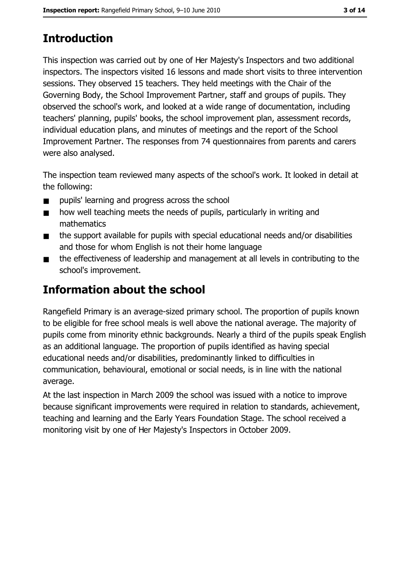# **Introduction**

This inspection was carried out by one of Her Majesty's Inspectors and two additional inspectors. The inspectors visited 16 lessons and made short visits to three intervention sessions. They observed 15 teachers. They held meetings with the Chair of the Governing Body, the School Improvement Partner, staff and groups of pupils. They observed the school's work, and looked at a wide range of documentation, including teachers' planning, pupils' books, the school improvement plan, assessment records, individual education plans, and minutes of meetings and the report of the School Improvement Partner. The responses from 74 questionnaires from parents and carers were also analysed.

The inspection team reviewed many aspects of the school's work. It looked in detail at the following:

- pupils' learning and progress across the school  $\blacksquare$
- how well teaching meets the needs of pupils, particularly in writing and  $\blacksquare$ mathematics
- the support available for pupils with special educational needs and/or disabilities  $\blacksquare$ and those for whom English is not their home language
- the effectiveness of leadership and management at all levels in contributing to the  $\blacksquare$ school's improvement.

# **Information about the school**

Rangefield Primary is an average-sized primary school. The proportion of pupils known to be eligible for free school meals is well above the national average. The majority of pupils come from minority ethnic backgrounds. Nearly a third of the pupils speak English as an additional language. The proportion of pupils identified as having special educational needs and/or disabilities, predominantly linked to difficulties in communication, behavioural, emotional or social needs, is in line with the national average.

At the last inspection in March 2009 the school was issued with a notice to improve because significant improvements were required in relation to standards, achievement, teaching and learning and the Early Years Foundation Stage. The school received a monitoring visit by one of Her Majesty's Inspectors in October 2009.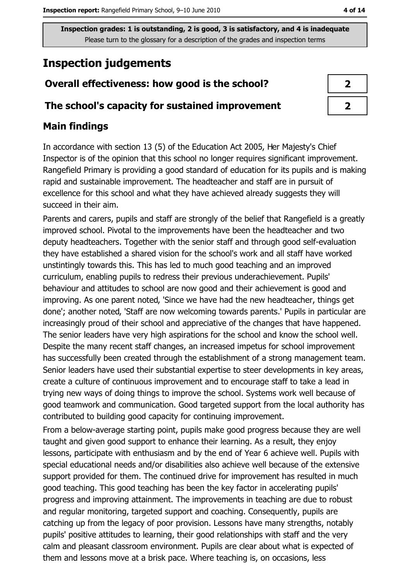# **Inspection judgements**

## Overall effectiveness: how good is the school?

#### The school's capacity for sustained improvement

## **Main findings**

In accordance with section 13 (5) of the Education Act 2005, Her Majesty's Chief Inspector is of the opinion that this school no longer requires significant improvement. Rangefield Primary is providing a good standard of education for its pupils and is making rapid and sustainable improvement. The headteacher and staff are in pursuit of excellence for this school and what they have achieved already suggests they will succeed in their aim.

Parents and carers, pupils and staff are strongly of the belief that Rangefield is a greatly improved school. Pivotal to the improvements have been the headteacher and two deputy headteachers. Together with the senior staff and through good self-evaluation they have established a shared vision for the school's work and all staff have worked unstintingly towards this. This has led to much good teaching and an improved curriculum, enabling pupils to redress their previous underachievement. Pupils' behaviour and attitudes to school are now good and their achievement is good and improving. As one parent noted, 'Since we have had the new headteacher, things get done'; another noted, 'Staff are now welcoming towards parents.' Pupils in particular are increasingly proud of their school and appreciative of the changes that have happened. The senior leaders have very high aspirations for the school and know the school well. Despite the many recent staff changes, an increased impetus for school improvement has successfully been created through the establishment of a strong management team. Senior leaders have used their substantial expertise to steer developments in key areas, create a culture of continuous improvement and to encourage staff to take a lead in trying new ways of doing things to improve the school. Systems work well because of good teamwork and communication. Good targeted support from the local authority has contributed to building good capacity for continuing improvement.

From a below-average starting point, pupils make good progress because they are well taught and given good support to enhance their learning. As a result, they enjoy lessons, participate with enthusiasm and by the end of Year 6 achieve well. Pupils with special educational needs and/or disabilities also achieve well because of the extensive support provided for them. The continued drive for improvement has resulted in much good teaching. This good teaching has been the key factor in accelerating pupils' progress and improving attainment. The improvements in teaching are due to robust and regular monitoring, targeted support and coaching. Consequently, pupils are catching up from the legacy of poor provision. Lessons have many strengths, notably pupils' positive attitudes to learning, their good relationships with staff and the very calm and pleasant classroom environment. Pupils are clear about what is expected of them and lessons move at a brisk pace. Where teaching is, on occasions, less

|  | ۰. |  |
|--|----|--|
|--|----|--|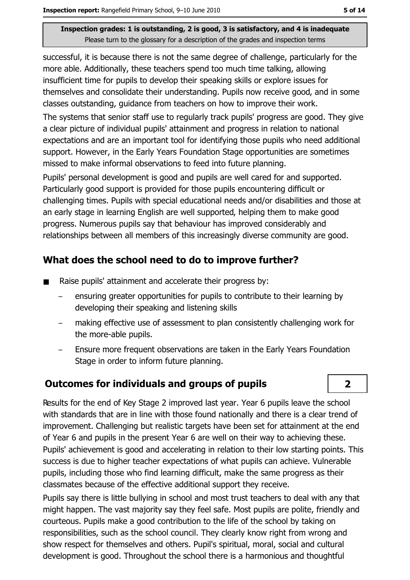successful, it is because there is not the same degree of challenge, particularly for the more able. Additionally, these teachers spend too much time talking, allowing insufficient time for pupils to develop their speaking skills or explore issues for themselves and consolidate their understanding. Pupils now receive good, and in some classes outstanding, quidance from teachers on how to improve their work.

The systems that senior staff use to regularly track pupils' progress are good. They give a clear picture of individual pupils' attainment and progress in relation to national expectations and are an important tool for identifying those pupils who need additional support. However, in the Early Years Foundation Stage opportunities are sometimes missed to make informal observations to feed into future planning.

Pupils' personal development is good and pupils are well cared for and supported. Particularly good support is provided for those pupils encountering difficult or challenging times. Pupils with special educational needs and/or disabilities and those at an early stage in learning English are well supported, helping them to make good progress. Numerous pupils say that behaviour has improved considerably and relationships between all members of this increasingly diverse community are good.

## What does the school need to do to improve further?

- Raise pupils' attainment and accelerate their progress by:
	- ensuring greater opportunities for pupils to contribute to their learning by developing their speaking and listening skills
	- making effective use of assessment to plan consistently challenging work for the more-able pupils.
	- Ensure more frequent observations are taken in the Early Years Foundation  $\overline{\phantom{0}}$ Stage in order to inform future planning.

#### **Outcomes for individuals and groups of pupils**

Results for the end of Key Stage 2 improved last year. Year 6 pupils leave the school with standards that are in line with those found nationally and there is a clear trend of improvement. Challenging but realistic targets have been set for attainment at the end of Year 6 and pupils in the present Year 6 are well on their way to achieving these. Pupils' achievement is good and accelerating in relation to their low starting points. This success is due to higher teacher expectations of what pupils can achieve. Vulnerable pupils, including those who find learning difficult, make the same progress as their classmates because of the effective additional support they receive.

Pupils say there is little bullying in school and most trust teachers to deal with any that might happen. The vast majority say they feel safe. Most pupils are polite, friendly and courteous. Pupils make a good contribution to the life of the school by taking on responsibilities, such as the school council. They clearly know right from wrong and show respect for themselves and others. Pupil's spiritual, moral, social and cultural development is good. Throughout the school there is a harmonious and thoughtful

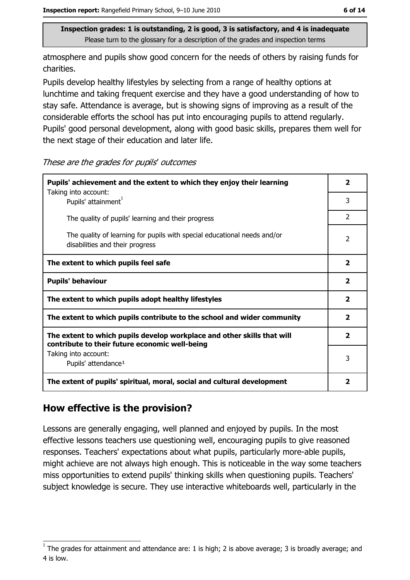atmosphere and pupils show good concern for the needs of others by raising funds for charities.

Pupils develop healthy lifestyles by selecting from a range of healthy options at lunchtime and taking frequent exercise and they have a good understanding of how to stay safe. Attendance is average, but is showing signs of improving as a result of the considerable efforts the school has put into encouraging pupils to attend regularly. Pupils' good personal development, along with good basic skills, prepares them well for the next stage of their education and later life.

These are the grades for pupils' outcomes

| Pupils' achievement and the extent to which they enjoy their learning                                                     |                         |  |
|---------------------------------------------------------------------------------------------------------------------------|-------------------------|--|
| Taking into account:<br>Pupils' attainment <sup>1</sup>                                                                   | 3                       |  |
| The quality of pupils' learning and their progress                                                                        | $\mathcal{P}$           |  |
| The quality of learning for pupils with special educational needs and/or<br>disabilities and their progress               | $\mathcal{P}$           |  |
| The extent to which pupils feel safe                                                                                      | $\overline{\mathbf{2}}$ |  |
| <b>Pupils' behaviour</b>                                                                                                  | $\overline{\mathbf{2}}$ |  |
| The extent to which pupils adopt healthy lifestyles                                                                       | $\overline{\mathbf{2}}$ |  |
| The extent to which pupils contribute to the school and wider community                                                   |                         |  |
| The extent to which pupils develop workplace and other skills that will<br>contribute to their future economic well-being |                         |  |
| Taking into account:<br>Pupils' attendance <sup>1</sup>                                                                   | 3                       |  |
| The extent of pupils' spiritual, moral, social and cultural development                                                   |                         |  |

## How effective is the provision?

Lessons are generally engaging, well planned and enjoyed by pupils. In the most effective lessons teachers use questioning well, encouraging pupils to give reasoned responses. Teachers' expectations about what pupils, particularly more-able pupils, might achieve are not always high enough. This is noticeable in the way some teachers miss opportunities to extend pupils' thinking skills when questioning pupils. Teachers' subject knowledge is secure. They use interactive whiteboards well, particularly in the

The grades for attainment and attendance are: 1 is high; 2 is above average; 3 is broadly average; and 4 is low.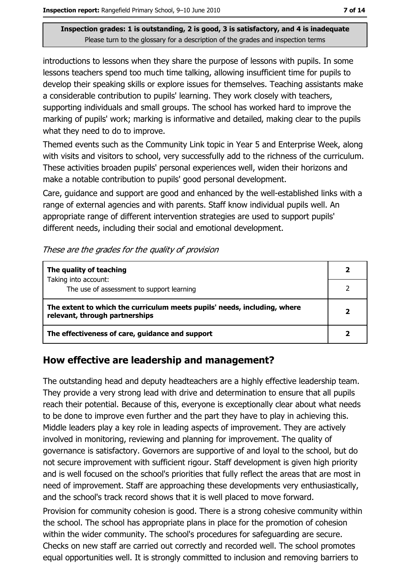introductions to lessons when they share the purpose of lessons with pupils. In some lessons teachers spend too much time talking, allowing insufficient time for pupils to develop their speaking skills or explore issues for themselves. Teaching assistants make a considerable contribution to pupils' learning. They work closely with teachers, supporting individuals and small groups. The school has worked hard to improve the marking of pupils' work; marking is informative and detailed, making clear to the pupils what they need to do to improve.

Themed events such as the Community Link topic in Year 5 and Enterprise Week, along with visits and visitors to school, very successfully add to the richness of the curriculum. These activities broaden pupils' personal experiences well, widen their horizons and make a notable contribution to pupils' good personal development.

Care, quidance and support are good and enhanced by the well-established links with a range of external agencies and with parents. Staff know individual pupils well. An appropriate range of different intervention strategies are used to support pupils' different needs, including their social and emotional development.

| The quality of teaching                                                                                    |  |
|------------------------------------------------------------------------------------------------------------|--|
| Taking into account:<br>The use of assessment to support learning                                          |  |
| The extent to which the curriculum meets pupils' needs, including, where<br>relevant, through partnerships |  |
| The effectiveness of care, guidance and support                                                            |  |

#### How effective are leadership and management?

The outstanding head and deputy headteachers are a highly effective leadership team. They provide a very strong lead with drive and determination to ensure that all pupils reach their potential. Because of this, everyone is exceptionally clear about what needs to be done to improve even further and the part they have to play in achieving this. Middle leaders play a key role in leading aspects of improvement. They are actively involved in monitoring, reviewing and planning for improvement. The quality of governance is satisfactory. Governors are supportive of and loyal to the school, but do not secure improvement with sufficient rigour. Staff development is given high priority and is well focused on the school's priorities that fully reflect the areas that are most in need of improvement. Staff are approaching these developments very enthusiastically, and the school's track record shows that it is well placed to move forward.

Provision for community cohesion is good. There is a strong cohesive community within the school. The school has appropriate plans in place for the promotion of cohesion within the wider community. The school's procedures for safeguarding are secure. Checks on new staff are carried out correctly and recorded well. The school promotes equal opportunities well. It is strongly committed to inclusion and removing barriers to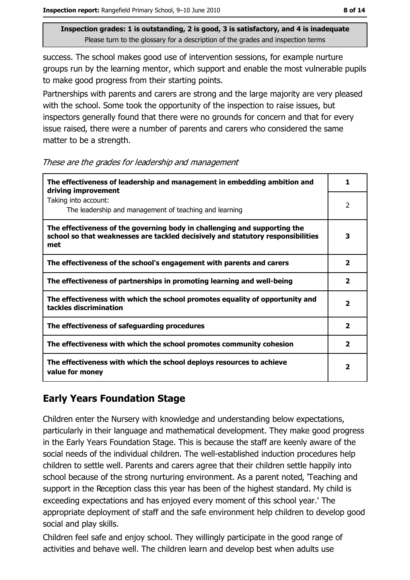success. The school makes good use of intervention sessions, for example nurture groups run by the learning mentor, which support and enable the most vulnerable pupils to make good progress from their starting points.

Partnerships with parents and carers are strong and the large majority are very pleased with the school. Some took the opportunity of the inspection to raise issues, but inspectors generally found that there were no grounds for concern and that for every issue raised, there were a number of parents and carers who considered the same matter to be a strength.

These are the grades for leadership and management

| The effectiveness of leadership and management in embedding ambition and<br>driving improvement                                                                     |                         |  |
|---------------------------------------------------------------------------------------------------------------------------------------------------------------------|-------------------------|--|
| Taking into account:<br>The leadership and management of teaching and learning                                                                                      | 2                       |  |
| The effectiveness of the governing body in challenging and supporting the<br>school so that weaknesses are tackled decisively and statutory responsibilities<br>met | 3                       |  |
| The effectiveness of the school's engagement with parents and carers                                                                                                | 2                       |  |
| The effectiveness of partnerships in promoting learning and well-being                                                                                              | $\overline{\mathbf{2}}$ |  |
| The effectiveness with which the school promotes equality of opportunity and<br>tackles discrimination                                                              |                         |  |
| The effectiveness of safeguarding procedures                                                                                                                        | $\mathbf{2}$            |  |
| The effectiveness with which the school promotes community cohesion                                                                                                 | $\mathbf{2}$            |  |
| The effectiveness with which the school deploys resources to achieve<br>value for money                                                                             |                         |  |

## **Early Years Foundation Stage**

Children enter the Nursery with knowledge and understanding below expectations, particularly in their language and mathematical development. They make good progress in the Early Years Foundation Stage. This is because the staff are keenly aware of the social needs of the individual children. The well-established induction procedures help children to settle well. Parents and carers agree that their children settle happily into school because of the strong nurturing environment. As a parent noted, Teaching and support in the Reception class this year has been of the highest standard. My child is exceeding expectations and has enjoyed every moment of this school year.' The appropriate deployment of staff and the safe environment help children to develop good social and play skills.

Children feel safe and enjoy school. They willingly participate in the good range of activities and behave well. The children learn and develop best when adults use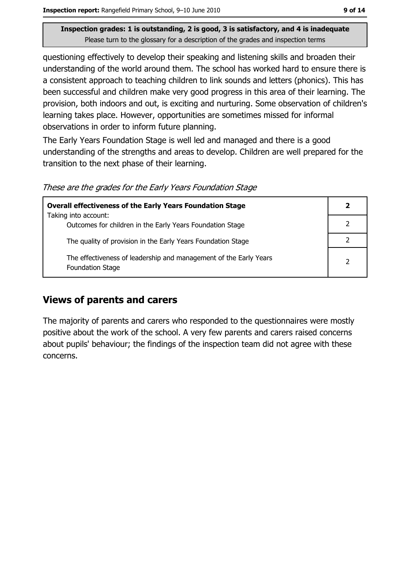guestioning effectively to develop their speaking and listening skills and broaden their understanding of the world around them. The school has worked hard to ensure there is a consistent approach to teaching children to link sounds and letters (phonics). This has been successful and children make very good progress in this area of their learning. The provision, both indoors and out, is exciting and nurturing. Some observation of children's learning takes place. However, opportunities are sometimes missed for informal observations in order to inform future planning.

The Early Years Foundation Stage is well led and managed and there is a good understanding of the strengths and areas to develop. Children are well prepared for the transition to the next phase of their learning.

These are the grades for the Early Years Foundation Stage

| <b>Overall effectiveness of the Early Years Foundation Stage</b>                      |               |
|---------------------------------------------------------------------------------------|---------------|
| Taking into account:                                                                  |               |
| Outcomes for children in the Early Years Foundation Stage                             |               |
| The quality of provision in the Early Years Foundation Stage                          |               |
| The effectiveness of leadership and management of the Early Years<br>Foundation Stage | $\mathcal{P}$ |

#### **Views of parents and carers**

The majority of parents and carers who responded to the questionnaires were mostly positive about the work of the school. A very few parents and carers raised concerns about pupils' behaviour; the findings of the inspection team did not agree with these concerns.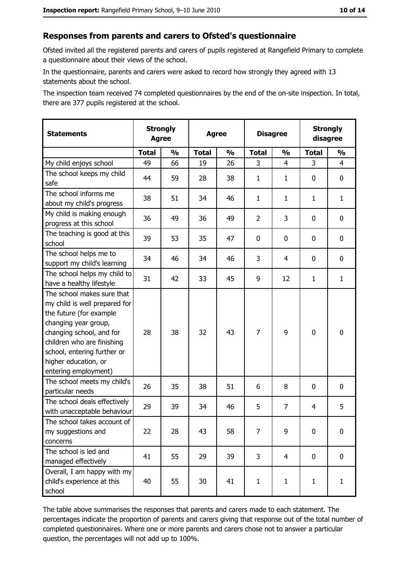#### Responses from parents and carers to Ofsted's questionnaire

Ofsted invited all the registered parents and carers of pupils registered at Rangefield Primary to complete a questionnaire about their views of the school.

In the questionnaire, parents and carers were asked to record how strongly they agreed with 13 statements about the school.

The inspection team received 74 completed questionnaires by the end of the on-site inspection. In total, there are 377 pupils registered at the school.

| <b>Statements</b>                                                                                                                                                                                                                                       |              | <b>Strongly</b><br><b>Agree</b><br><b>Agree</b> |              |               | <b>Disagree</b> | <b>Strongly</b><br>disagree |              |               |
|---------------------------------------------------------------------------------------------------------------------------------------------------------------------------------------------------------------------------------------------------------|--------------|-------------------------------------------------|--------------|---------------|-----------------|-----------------------------|--------------|---------------|
|                                                                                                                                                                                                                                                         | <b>Total</b> | $\frac{1}{2}$                                   | <b>Total</b> | $\frac{0}{0}$ | <b>Total</b>    | $\frac{0}{0}$               | <b>Total</b> | $\frac{9}{6}$ |
| My child enjoys school                                                                                                                                                                                                                                  | 49           | 66                                              | 19           | 26            | 3               | 4                           | 3            | 4             |
| The school keeps my child<br>safe                                                                                                                                                                                                                       | 44           | 59                                              | 28           | 38            | $\mathbf{1}$    | 1                           | $\mathbf{0}$ | 0             |
| The school informs me<br>about my child's progress                                                                                                                                                                                                      | 38           | 51                                              | 34           | 46            | $\mathbf{1}$    | $\mathbf{1}$                | 1            | $\mathbf{1}$  |
| My child is making enough<br>progress at this school                                                                                                                                                                                                    | 36           | 49                                              | 36           | 49            | $\overline{2}$  | 3                           | 0            | 0             |
| The teaching is good at this<br>school                                                                                                                                                                                                                  | 39           | 53                                              | 35           | 47            | $\mathbf 0$     | 0                           | 0            | 0             |
| The school helps me to<br>support my child's learning                                                                                                                                                                                                   | 34           | 46                                              | 34           | 46            | 3               | 4                           | 0            | 0             |
| The school helps my child to<br>have a healthy lifestyle                                                                                                                                                                                                | 31           | 42                                              | 33           | 45            | 9               | 12                          | 1            | $\mathbf{1}$  |
| The school makes sure that<br>my child is well prepared for<br>the future (for example<br>changing year group,<br>changing school, and for<br>children who are finishing<br>school, entering further or<br>higher education, or<br>entering employment) | 28           | 38                                              | 32           | 43            | $\overline{7}$  | 9                           | $\mathbf 0$  | 0             |
| The school meets my child's<br>particular needs                                                                                                                                                                                                         | 26           | 35                                              | 38           | 51            | 6               | 8                           | 0            | 0             |
| The school deals effectively<br>with unacceptable behaviour                                                                                                                                                                                             | 29           | 39                                              | 34           | 46            | 5               | $\overline{7}$              | 4            | 5             |
| The school takes account of<br>my suggestions and<br>concerns                                                                                                                                                                                           | 22           | 28                                              | 43           | 58            | 7               | 9                           | 0            | 0             |
| The school is led and<br>managed effectively                                                                                                                                                                                                            | 41           | 55                                              | 29           | 39            | $\overline{3}$  | $\overline{4}$              | 0            | $\mathbf 0$   |
| Overall, I am happy with my<br>child's experience at this<br>school                                                                                                                                                                                     | 40           | 55                                              | 30           | 41            | $\mathbf{1}$    | $\mathbf{1}$                | $\mathbf{1}$ | $\mathbf{1}$  |

The table above summarises the responses that parents and carers made to each statement. The percentages indicate the proportion of parents and carers giving that response out of the total number of completed questionnaires. Where one or more parents and carers chose not to answer a particular question, the percentages will not add up to 100%.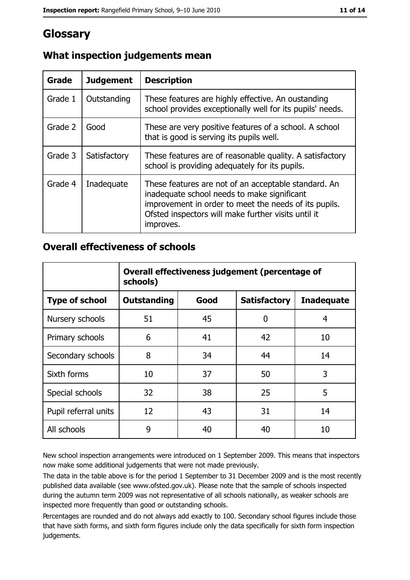# Glossary

| Grade   | <b>Judgement</b> | <b>Description</b>                                                                                                                                                                                                               |
|---------|------------------|----------------------------------------------------------------------------------------------------------------------------------------------------------------------------------------------------------------------------------|
| Grade 1 | Outstanding      | These features are highly effective. An oustanding<br>school provides exceptionally well for its pupils' needs.                                                                                                                  |
| Grade 2 | Good             | These are very positive features of a school. A school<br>that is good is serving its pupils well.                                                                                                                               |
| Grade 3 | Satisfactory     | These features are of reasonable quality. A satisfactory<br>school is providing adequately for its pupils.                                                                                                                       |
| Grade 4 | Inadequate       | These features are not of an acceptable standard. An<br>inadequate school needs to make significant<br>improvement in order to meet the needs of its pupils.<br>Ofsted inspectors will make further visits until it<br>improves. |

## What inspection judgements mean

#### **Overall effectiveness of schools**

|                       | Overall effectiveness judgement (percentage of<br>schools) |      |                     |                   |
|-----------------------|------------------------------------------------------------|------|---------------------|-------------------|
| <b>Type of school</b> | <b>Outstanding</b>                                         | Good | <b>Satisfactory</b> | <b>Inadequate</b> |
| Nursery schools       | 51                                                         | 45   | 0                   | 4                 |
| Primary schools       | 6                                                          | 41   | 42                  | 10                |
| Secondary schools     | 8                                                          | 34   | 44                  | 14                |
| Sixth forms           | 10                                                         | 37   | 50                  | 3                 |
| Special schools       | 32                                                         | 38   | 25                  | 5                 |
| Pupil referral units  | 12                                                         | 43   | 31                  | 14                |
| All schools           | 9                                                          | 40   | 40                  | 10                |

New school inspection arrangements were introduced on 1 September 2009. This means that inspectors now make some additional judgements that were not made previously.

The data in the table above is for the period 1 September to 31 December 2009 and is the most recently published data available (see www.ofsted.gov.uk). Please note that the sample of schools inspected during the autumn term 2009 was not representative of all schools nationally, as weaker schools are inspected more frequently than good or outstanding schools.

Percentages are rounded and do not always add exactly to 100. Secondary school figures include those that have sixth forms, and sixth form figures include only the data specifically for sixth form inspection judgements.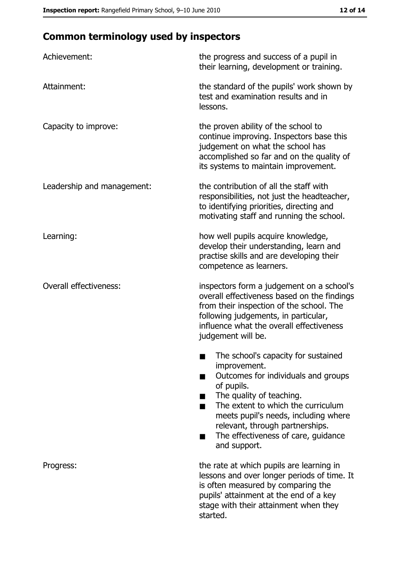# **Common terminology used by inspectors**

| Achievement:                  | the progress and success of a pupil in<br>their learning, development or training.                                                                                                                                                                                                                           |
|-------------------------------|--------------------------------------------------------------------------------------------------------------------------------------------------------------------------------------------------------------------------------------------------------------------------------------------------------------|
| Attainment:                   | the standard of the pupils' work shown by<br>test and examination results and in<br>lessons.                                                                                                                                                                                                                 |
| Capacity to improve:          | the proven ability of the school to<br>continue improving. Inspectors base this<br>judgement on what the school has<br>accomplished so far and on the quality of<br>its systems to maintain improvement.                                                                                                     |
| Leadership and management:    | the contribution of all the staff with<br>responsibilities, not just the headteacher,<br>to identifying priorities, directing and<br>motivating staff and running the school.                                                                                                                                |
| Learning:                     | how well pupils acquire knowledge,<br>develop their understanding, learn and<br>practise skills and are developing their<br>competence as learners.                                                                                                                                                          |
| <b>Overall effectiveness:</b> | inspectors form a judgement on a school's<br>overall effectiveness based on the findings<br>from their inspection of the school. The<br>following judgements, in particular,<br>influence what the overall effectiveness<br>judgement will be.                                                               |
|                               | The school's capacity for sustained<br>improvement.<br>Outcomes for individuals and groups<br>of pupils.<br>The quality of teaching.<br>The extent to which the curriculum<br>meets pupil's needs, including where<br>relevant, through partnerships.<br>The effectiveness of care, guidance<br>and support. |
| Progress:                     | the rate at which pupils are learning in<br>lessons and over longer periods of time. It<br>is often measured by comparing the<br>pupils' attainment at the end of a key<br>stage with their attainment when they<br>started.                                                                                 |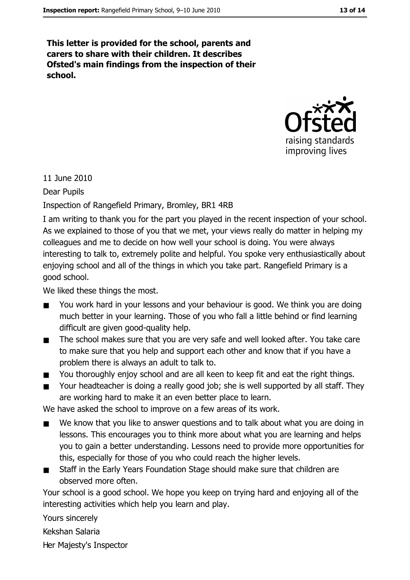This letter is provided for the school, parents and carers to share with their children. It describes Ofsted's main findings from the inspection of their school.



11 June 2010

**Dear Pupils** 

Inspection of Rangefield Primary, Bromley, BR1 4RB

I am writing to thank you for the part you played in the recent inspection of your school. As we explained to those of you that we met, your views really do matter in helping my colleagues and me to decide on how well your school is doing. You were always interesting to talk to, extremely polite and helpful. You spoke very enthusiastically about enjoying school and all of the things in which you take part. Rangefield Primary is a good school.

We liked these things the most.

- $\blacksquare$ You work hard in your lessons and your behaviour is good. We think you are doing much better in your learning. Those of you who fall a little behind or find learning difficult are given good-quality help.
- The school makes sure that you are very safe and well looked after. You take care  $\blacksquare$ to make sure that you help and support each other and know that if you have a problem there is always an adult to talk to.
- You thoroughly enjoy school and are all keen to keep fit and eat the right things.  $\blacksquare$
- Your headteacher is doing a really good job; she is well supported by all staff. They  $\blacksquare$ are working hard to make it an even better place to learn.

We have asked the school to improve on a few areas of its work.

- We know that you like to answer questions and to talk about what you are doing in  $\blacksquare$ lessons. This encourages you to think more about what you are learning and helps you to gain a better understanding. Lessons need to provide more opportunities for this, especially for those of you who could reach the higher levels.
- Staff in the Early Years Foundation Stage should make sure that children are  $\blacksquare$ observed more often.

Your school is a good school. We hope you keep on trying hard and enjoying all of the interesting activities which help you learn and play.

Yours sincerely

Kekshan Salaria

Her Majesty's Inspector